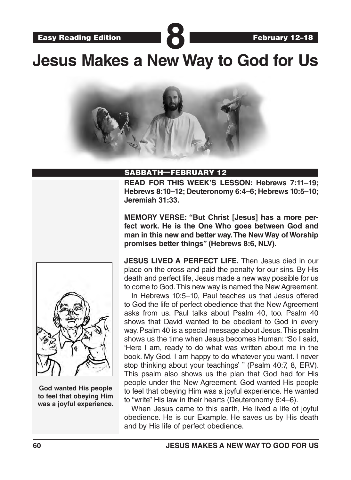**Jesus Makes a New Way to God for Us**



### SABBATH—FEBRUARY 12

**READ FOR THIS WEEK'S LESSON: Hebrews 7:11–19; Hebrews 8:10–12; Deuteronomy 6:4–6; Hebrews 10:5–10; Jeremiah 31:33.** 

**MEMORY VERSE: "But Christ [Jesus] has a more perfect work. He is the One Who goes between God and man in this new and better way. The New Way of Worship promises better things" (Hebrews 8:6, NLV).**



**God wanted His people to feel that obeying Him was a joyful experience.** **JESUS LIVED A PERFECT LIFE.** Then Jesus died in our place on the cross and paid the penalty for our sins. By His death and perfect life, Jesus made a new way possible for us to come to God. This new way is named the New Agreement.

In Hebrews 10:5–10, Paul teaches us that Jesus offered to God the life of perfect obedience that the New Agreement asks from us. Paul talks about Psalm 40, too. Psalm 40 shows that David wanted to be obedient to God in every way. Psalm 40 is a special message about Jesus. This psalm shows us the time when Jesus becomes Human: "So I said, 'Here I am, ready to do what was written about me in the book. My God, I am happy to do whatever you want. I never stop thinking about your teachings' " (Psalm 40:7, 8, ERV). This psalm also shows us the plan that God had for His people under the New Agreement. God wanted His people to feel that obeying Him was a joyful experience. He wanted to "write" His law in their hearts (Deuteronomy 6:4–6).

When Jesus came to this earth, He lived a life of joyful obedience. He is our Example. He saves us by His death and by His life of perfect obedience.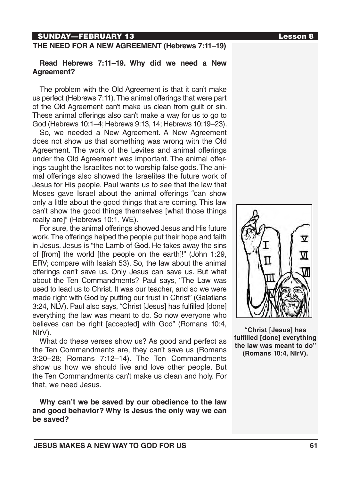# SUNDAY—FEBRUARY 13 Lesson 8

### **THE NEED FOR A NEW AGREEMENT (Hebrews 7:11–19)**

### **Read Hebrews 7:11–19. Why did we need a New Agreement?**

The problem with the Old Agreement is that it can't make us perfect (Hebrews 7:11). The animal offerings that were part of the Old Agreement can't make us clean from guilt or sin. These animal offerings also can't make a way for us to go to God (Hebrews 10:1–4; Hebrews 9:13, 14; Hebrews 10:19–23).

So, we needed a New Agreement. A New Agreement does not show us that something was wrong with the Old Agreement. The work of the Levites and animal offerings under the Old Agreement was important. The animal offerings taught the Israelites not to worship false gods. The animal offerings also showed the Israelites the future work of Jesus for His people. Paul wants us to see that the law that Moses gave Israel about the animal offerings "can show only a little about the good things that are coming. This law can't show the good things themselves [what those things really are]" (Hebrews 10:1, WE).

For sure, the animal offerings showed Jesus and His future work. The offerings helped the people put their hope and faith in Jesus. Jesus is "the Lamb of God. He takes away the sins of [from] the world [the people on the earth]!" (John 1:29, ERV; compare with Isaiah 53). So, the law about the animal offerings can't save us. Only Jesus can save us. But what about the Ten Commandments? Paul says, "The Law was used to lead us to Christ. It was our teacher, and so we were made right with God by putting our trust in Christ" (Galatians 3:24, NLV). Paul also says, "Christ [Jesus] has fulfilled [done] everything the law was meant to do. So now everyone who believes can be right [accepted] with God" (Romans 10:4, NIrV).

What do these verses show us? As good and perfect as the Ten Commandments are, they can't save us (Romans 3:20–28; Romans 7:12–14). The Ten Commandments show us how we should live and love other people. But the Ten Commandments can't make us clean and holy. For that, we need Jesus.

**Why can't we be saved by our obedience to the law and good behavior? Why is Jesus the only way we can be saved?**



**"Christ [Jesus] has fulfilled [done] everything the law was meant to do" (Romans 10:4, NIrV).**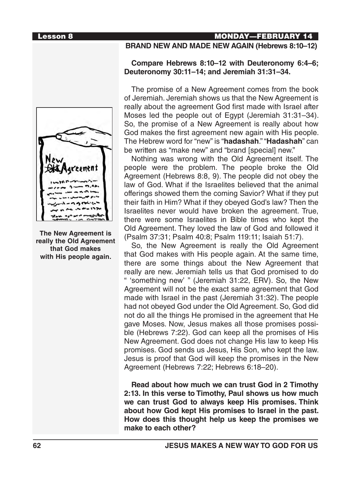

**The New Agreement is really the Old Agreement that God makes with His people again.**

# Lesson 8 MONDAY—FEBRUARY 14

# **BRAND NEW AND MADE NEW AGAIN (Hebrews 8:10–12)**

### **Compare Hebrews 8:10–12 with Deuteronomy 6:4–6; Deuteronomy 30:11–14; and Jeremiah 31:31–34.**

The promise of a New Agreement comes from the book of Jeremiah. Jeremiah shows us that the New Agreement is really about the agreement God first made with Israel after Moses led the people out of Egypt (Jeremiah 31:31–34). So, the promise of a New Agreement is really about how God makes the first agreement new again with His people. The Hebrew word for "new" is "**hadashah**." "**Hadashah**" can be written as "make new" and "brand [special] new."

Nothing was wrong with the Old Agreement itself. The people were the problem. The people broke the Old Agreement (Hebrews 8:8, 9). The people did not obey the law of God. What if the Israelites believed that the animal offerings showed them the coming Savior? What if they put their faith in Him? What if they obeyed God's law? Then the Israelites never would have broken the agreement. True, there were some Israelites in Bible times who kept the Old Agreement. They loved the law of God and followed it (Psalm 37:31; Psalm 40:8; Psalm 119:11; Isaiah 51:7).

So, the New Agreement is really the Old Agreement that God makes with His people again. At the same time, there are some things about the New Agreement that really are new. Jeremiah tells us that God promised to do " 'something new' " (Jeremiah 31:22, ERV). So, the New Agreement will not be the exact same agreement that God made with Israel in the past (Jeremiah 31:32). The people had not obeyed God under the Old Agreement. So, God did not do all the things He promised in the agreement that He gave Moses. Now, Jesus makes all those promises possible (Hebrews 7:22). God can keep all the promises of His New Agreement. God does not change His law to keep His promises. God sends us Jesus, His Son, who kept the law. Jesus is proof that God will keep the promises in the New Agreement (Hebrews 7:22; Hebrews 6:18–20).

**Read about how much we can trust God in 2 Timothy 2:13. In this verse to Timothy, Paul shows us how much we can trust God to always keep His promises. Think about how God kept His promises to Israel in the past. How does this thought help us keep the promises we make to each other?**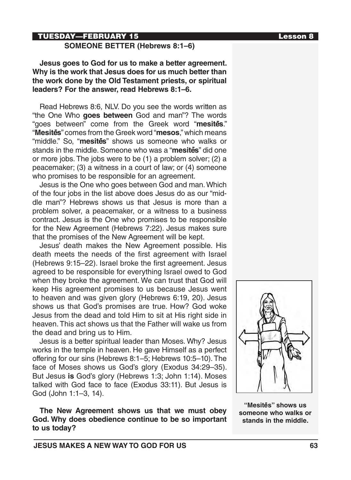# TUESDAY—FEBRUARY 15 Lesson 8

### **SOMEONE BETTER (Hebrews 8:1–6)**

**Jesus goes to God for us to make a better agreement. Why is the work that Jesus does for us much better than the work done by the Old Testament priests, or spiritual leaders? For the answer, read Hebrews 8:1–6.** 

Read Hebrews 8:6, NLV. Do you see the words written as "the One Who **goes between** God and man"? The words "goes between" come from the Greek word "**mesite-s**." "**Mesite-s**" comes from the Greek word "**mesos**," which means "middle." So, "**mesites**" shows us someone who walks or stands in the middle. Someone who was a "**mesites**" did one or more jobs. The jobs were to be (1) a problem solver; (2) a peacemaker; (3) a witness in a court of law; or (4) someone who promises to be responsible for an agreement.

Jesus is the One who goes between God and man. Which of the four jobs in the list above does Jesus do as our "middle man"? Hebrews shows us that Jesus is more than a problem solver, a peacemaker, or a witness to a business contract. Jesus is the One who promises to be responsible for the New Agreement (Hebrews 7:22). Jesus makes sure that the promises of the New Agreement will be kept.

Jesus' death makes the New Agreement possible. His death meets the needs of the first agreement with Israel (Hebrews 9:15–22). Israel broke the first agreement. Jesus agreed to be responsible for everything Israel owed to God when they broke the agreement. We can trust that God will keep His agreement promises to us because Jesus went to heaven and was given glory (Hebrews 6:19, 20). Jesus shows us that God's promises are true. How? God woke Jesus from the dead and told Him to sit at His right side in heaven. This act shows us that the Father will wake us from the dead and bring us to Him.

Jesus is a better spiritual leader than Moses. Why? Jesus works in the temple in heaven. He gave Himself as a perfect offering for our sins (Hebrews 8:1–5; Hebrews 10:5–10). The face of Moses shows us God's glory (Exodus 34:29–35). But Jesus **is** God's glory (Hebrews 1:3; John 1:14). Moses talked with God face to face (Exodus 33:11). But Jesus is God (John 1:1–3, 14).

**The New Agreement shows us that we must obey God. Why does obedience continue to be so important to us today?**



"Mesites" shows us **someone who walks or stands in the middle.**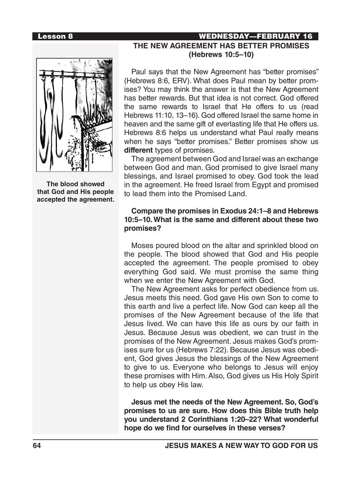**The blood showed that God and His people accepted the agreement.** 

# Lesson 8 WEDNESDAY—FEBRUARY 16 **THE NEW AGREEMENT HAS BETTER PROMISES (Hebrews 10:5–10)**

Paul says that the New Agreement has "better promises" (Hebrews 8:6, ERV). What does Paul mean by better promises? You may think the answer is that the New Agreement has better rewards. But that idea is not correct. God offered the same rewards to Israel that He offers to us (read Hebrews 11:10, 13–16). God offered Israel the same home in heaven and the same gift of everlasting life that He offers us. Hebrews 8:6 helps us understand what Paul really means when he says "better promises." Better promises show us **different** types of promises.

The agreement between God and Israel was an exchange between God and man. God promised to give Israel many blessings, and Israel promised to obey. God took the lead in the agreement. He freed Israel from Egypt and promised to lead them into the Promised Land.

### **Compare the promises in Exodus 24:1–8 and Hebrews 10:5–10. What is the same and different about these two promises?**

Moses poured blood on the altar and sprinkled blood on the people. The blood showed that God and His people accepted the agreement. The people promised to obey everything God said. We must promise the same thing when we enter the New Agreement with God.

The New Agreement asks for perfect obedience from us. Jesus meets this need. God gave His own Son to come to this earth and live a perfect life. Now God can keep all the promises of the New Agreement because of the life that Jesus lived. We can have this life as ours by our faith in Jesus. Because Jesus was obedient, we can trust in the promises of the New Agreement. Jesus makes God's promises sure for us (Hebrews 7:22). Because Jesus was obedient, God gives Jesus the blessings of the New Agreement to give to us. Everyone who belongs to Jesus will enjoy these promises with Him. Also, God gives us His Holy Spirit to help us obey His law.

**Jesus met the needs of the New Agreement. So, God's promises to us are sure. How does this Bible truth help you understand 2 Corinthians 1:20–22? What wonderful hope do we find for ourselves in these verses?**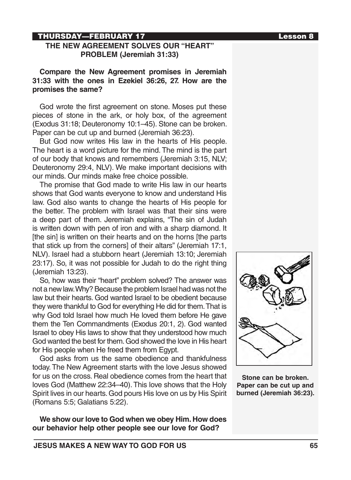### THURSDAY—FEBRUARY 17 Lesson 8

### **THE NEW AGREEMENT SOLVES OUR "HEART" PROBLEM (Jeremiah 31:33)**

**Compare the New Agreement promises in Jeremiah 31:33 with the ones in Ezekiel 36:26, 27. How are the promises the same?**

God wrote the first agreement on stone. Moses put these pieces of stone in the ark, or holy box, of the agreement (Exodus 31:18; Deuteronomy 10:1–45). Stone can be broken. Paper can be cut up and burned (Jeremiah 36:23).

But God now writes His law in the hearts of His people. The heart is a word picture for the mind. The mind is the part of our body that knows and remembers (Jeremiah 3:15, NLV; Deuteronomy 29:4, NLV). We make important decisions with our minds. Our minds make free choice possible.

The promise that God made to write His law in our hearts shows that God wants everyone to know and understand His law. God also wants to change the hearts of His people for the better. The problem with Israel was that their sins were a deep part of them. Jeremiah explains, "The sin of Judah is written down with pen of iron and with a sharp diamond. It [the sin] is written on their hearts and on the horns [the parts that stick up from the corners] of their altars" (Jeremiah 17:1, NLV). Israel had a stubborn heart (Jeremiah 13:10; Jeremiah 23:17). So, it was not possible for Judah to do the right thing (Jeremiah 13:23).

So, how was their "heart" problem solved? The answer was not a new law. Why? Because the problem Israel had was not the law but their hearts. God wanted Israel to be obedient because they were thankful to God for everything He did for them. That is why God told Israel how much He loved them before He gave them the Ten Commandments (Exodus 20:1, 2). God wanted Israel to obey His laws to show that they understood how much God wanted the best for them. God showed the love in His heart for His people when He freed them from Eavpt.

God asks from us the same obedience and thankfulness today. The New Agreement starts with the love Jesus showed for us on the cross. Real obedience comes from the heart that loves God (Matthew 22:34–40). This love shows that the Holy Spirit lives in our hearts. God pours His love on us by His Spirit (Romans 5:5; Galatians 5:22).

**We show our love to God when we obey Him. How does our behavior help other people see our love for God?**



**Stone can be broken. Paper can be cut up and burned (Jeremiah 36:23).**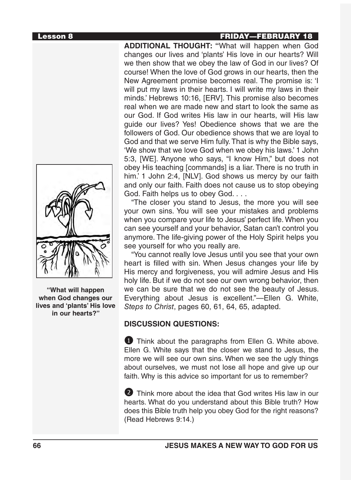**"What will happen when God changes our lives and 'plants' His love in our hearts?"**

# Lesson 8 FRIDAY—FEBRUARY 18

**ADDITIONAL THOUGHT: "**What will happen when God changes our lives and 'plants' His love in our hearts? Will we then show that we obey the law of God in our lives? Of course! When the love of God grows in our hearts, then the New Agreement promise becomes real. The promise is: 'I will put my laws in their hearts. I will write my laws in their minds.' Hebrews 10:16, [ERV]. This promise also becomes real when we are made new and start to look the same as our God. If God writes His law in our hearts, will His law guide our lives? Yes! Obedience shows that we are the followers of God. Our obedience shows that we are loyal to God and that we serve Him fully. That is why the Bible says, 'We show that we love God when we obey his laws.' 1 John 5:3, [WE]. 'Anyone who says, "I know Him," but does not obey His teaching [commands] is a liar. There is no truth in him.' 1 John 2:4, [NLV]. God shows us mercy by our faith and only our faith. Faith does not cause us to stop obeying God. Faith helps us to obey God. . . .

"The closer you stand to Jesus, the more you will see your own sins. You will see your mistakes and problems when you compare your life to Jesus' perfect life. When you can see yourself and your behavior, Satan can't control you anymore. The life-giving power of the Holy Spirit helps you see yourself for who you really are.

"You cannot really love Jesus until you see that your own heart is filled with sin. When Jesus changes your life by His mercy and forgiveness, you will admire Jesus and His holy life. But if we do not see our own wrong behavior, then we can be sure that we do not see the beauty of Jesus. Everything about Jesus is excellent."—Ellen G. White, *Steps to Christ*, pages 60, 61, 64, 65, adapted.

# **DISCUSSION QUESTIONS:**

**1** Think about the paragraphs from Ellen G. White above. Ellen G. White says that the closer we stand to Jesus, the more we will see our own sins. When we see the ugly things about ourselves, we must not lose all hope and give up our faith. Why is this advice so important for us to remember?

2 Think more about the idea that God writes His law in our hearts. What do you understand about this Bible truth? How does this Bible truth help you obey God for the right reasons? (Read Hebrews 9:14.)